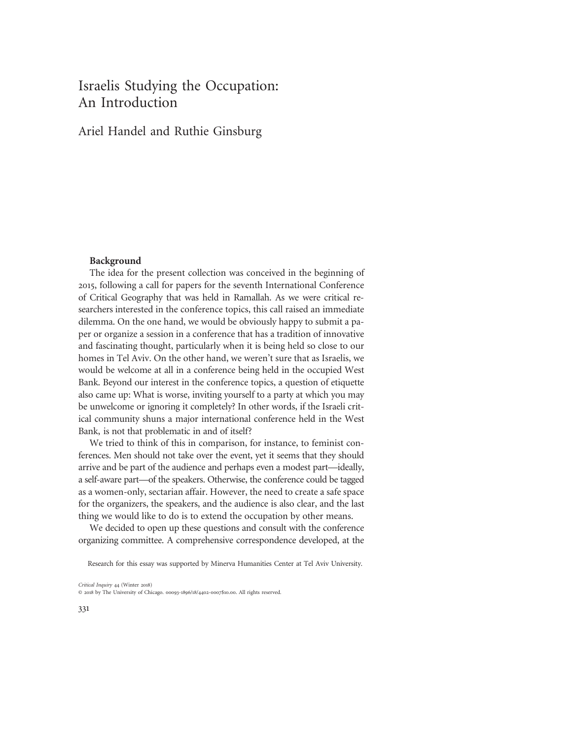# Israelis Studying the Occupation: An Introduction

# Ariel Handel and Ruthie Ginsburg

#### Background

The idea for the present collection was conceived in the beginning of 2015, following a call for papers for the seventh International Conference of Critical Geography that was held in Ramallah. As we were critical researchers interested in the conference topics, this call raised an immediate dilemma. On the one hand, we would be obviously happy to submit a paper or organize a session in a conference that has a tradition of innovative and fascinating thought, particularly when it is being held so close to our homes in Tel Aviv. On the other hand, we weren't sure that as Israelis, we would be welcome at all in a conference being held in the occupied West Bank. Beyond our interest in the conference topics, a question of etiquette also came up: What is worse, inviting yourself to a party at which you may be unwelcome or ignoring it completely? In other words, if the Israeli critical community shuns a major international conference held in the West Bank, is not that problematic in and of itself?

We tried to think of this in comparison, for instance, to feminist conferences. Men should not take over the event, yet it seems that they should arrive and be part of the audience and perhaps even a modest part—ideally, a self-aware part—of the speakers. Otherwise, the conference could be tagged as a women-only, sectarian affair. However, the need to create a safe space for the organizers, the speakers, and the audience is also clear, and the last thing we would like to do is to extend the occupation by other means.

We decided to open up these questions and consult with the conference organizing committee. A comprehensive correspondence developed, at the

Critical Inquiry 44 (Winter 2018) © 2018 by The University of Chicago. 00093-1896/18/4402-0007\$10.00. All rights reserved.

Research for this essay was supported by Minerva Humanities Center at Tel Aviv University.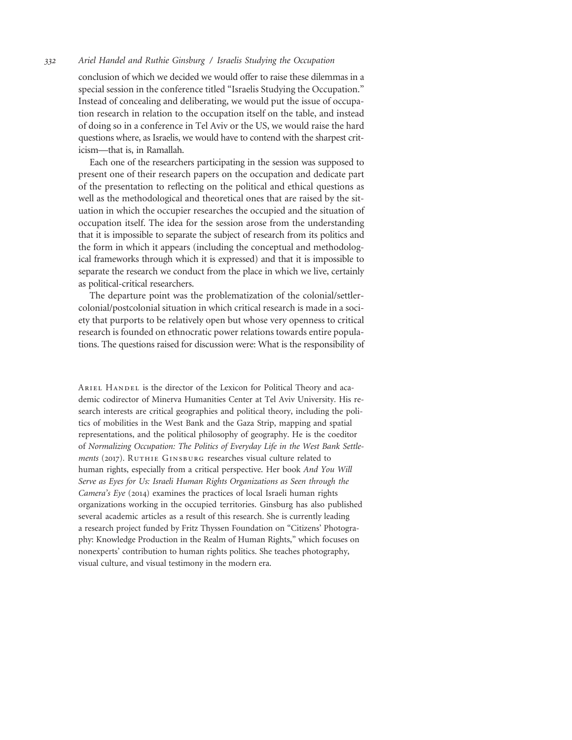conclusion of which we decided we would offer to raise these dilemmas in a special session in the conference titled "Israelis Studying the Occupation." Instead of concealing and deliberating, we would put the issue of occupation research in relation to the occupation itself on the table, and instead of doing so in a conference in Tel Aviv or the US, we would raise the hard questions where, as Israelis, we would have to contend with the sharpest criticism—that is, in Ramallah.

Each one of the researchers participating in the session was supposed to present one of their research papers on the occupation and dedicate part of the presentation to reflecting on the political and ethical questions as well as the methodological and theoretical ones that are raised by the situation in which the occupier researches the occupied and the situation of occupation itself. The idea for the session arose from the understanding that it is impossible to separate the subject of research from its politics and the form in which it appears (including the conceptual and methodological frameworks through which it is expressed) and that it is impossible to separate the research we conduct from the place in which we live, certainly as political-critical researchers.

The departure point was the problematization of the colonial/settlercolonial/postcolonial situation in which critical research is made in a society that purports to be relatively open but whose very openness to critical research is founded on ethnocratic power relations towards entire populations. The questions raised for discussion were: What is the responsibility of

ARIEL HANDEL is the director of the Lexicon for Political Theory and academic codirector of Minerva Humanities Center at Tel Aviv University. His research interests are critical geographies and political theory, including the politics of mobilities in the West Bank and the Gaza Strip, mapping and spatial representations, and the political philosophy of geography. He is the coeditor of Normalizing Occupation: The Politics of Everyday Life in the West Bank Settlements (2017). RUTHIE GINSBURG researches visual culture related to human rights, especially from a critical perspective. Her book And You Will Serve as Eyes for Us: Israeli Human Rights Organizations as Seen through the Camera's Eye (2014) examines the practices of local Israeli human rights organizations working in the occupied territories. Ginsburg has also published several academic articles as a result of this research. She is currently leading a research project funded by Fritz Thyssen Foundation on "Citizens' Photography: Knowledge Production in the Realm of Human Rights," which focuses on nonexperts' contribution to human rights politics. She teaches photography, visual culture, and visual testimony in the modern era.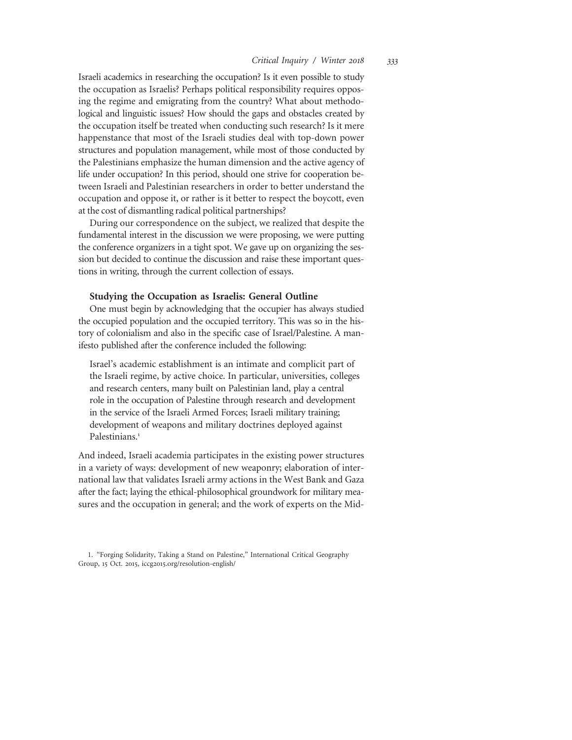Israeli academics in researching the occupation? Is it even possible to study the occupation as Israelis? Perhaps political responsibility requires opposing the regime and emigrating from the country? What about methodological and linguistic issues? How should the gaps and obstacles created by the occupation itself be treated when conducting such research? Is it mere happenstance that most of the Israeli studies deal with top-down power structures and population management, while most of those conducted by the Palestinians emphasize the human dimension and the active agency of life under occupation? In this period, should one strive for cooperation between Israeli and Palestinian researchers in order to better understand the occupation and oppose it, or rather is it better to respect the boycott, even at the cost of dismantling radical political partnerships?

During our correspondence on the subject, we realized that despite the fundamental interest in the discussion we were proposing, we were putting the conference organizers in a tight spot. We gave up on organizing the session but decided to continue the discussion and raise these important questions in writing, through the current collection of essays.

## Studying the Occupation as Israelis: General Outline

One must begin by acknowledging that the occupier has always studied the occupied population and the occupied territory. This was so in the history of colonialism and also in the specific case of Israel/Palestine. A manifesto published after the conference included the following:

Israel's academic establishment is an intimate and complicit part of the Israeli regime, by active choice. In particular, universities, colleges and research centers, many built on Palestinian land, play a central role in the occupation of Palestine through research and development in the service of the Israeli Armed Forces; Israeli military training; development of weapons and military doctrines deployed against Palestinians.<sup>1</sup>

And indeed, Israeli academia participates in the existing power structures in a variety of ways: development of new weaponry; elaboration of international law that validates Israeli army actions in the West Bank and Gaza after the fact; laying the ethical-philosophical groundwork for military measures and the occupation in general; and the work of experts on the Mid-

<sup>1.</sup> "Forging Solidarity, Taking a Stand on Palestine," International Critical Geography Group, 15 Oct. 2015, iccg2015.org/resolution-english/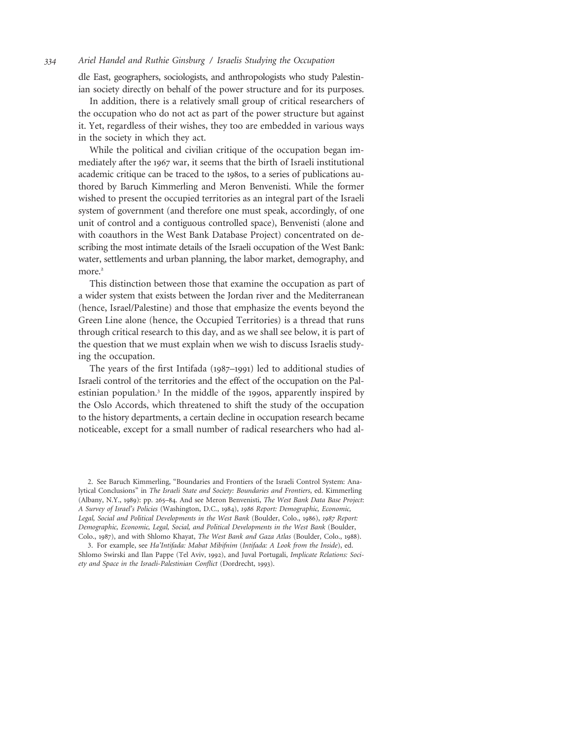dle East, geographers, sociologists, and anthropologists who study Palestinian society directly on behalf of the power structure and for its purposes.

In addition, there is a relatively small group of critical researchers of the occupation who do not act as part of the power structure but against it. Yet, regardless of their wishes, they too are embedded in various ways in the society in which they act.

While the political and civilian critique of the occupation began immediately after the 1967 war, it seems that the birth of Israeli institutional academic critique can be traced to the 1980s, to a series of publications authored by Baruch Kimmerling and Meron Benvenisti. While the former wished to present the occupied territories as an integral part of the Israeli system of government (and therefore one must speak, accordingly, of one unit of control and a contiguous controlled space), Benvenisti (alone and with coauthors in the West Bank Database Project) concentrated on describing the most intimate details of the Israeli occupation of the West Bank: water, settlements and urban planning, the labor market, demography, and more.<sup>2</sup>

This distinction between those that examine the occupation as part of a wider system that exists between the Jordan river and the Mediterranean (hence, Israel/Palestine) and those that emphasize the events beyond the Green Line alone (hence, the Occupied Territories) is a thread that runs through critical research to this day, and as we shall see below, it is part of the question that we must explain when we wish to discuss Israelis studying the occupation.

The years of the first Intifada (1987–1991) led to additional studies of Israeli control of the territories and the effect of the occupation on the Palestinian population.<sup>3</sup> In the middle of the 1990s, apparently inspired by the Oslo Accords, which threatened to shift the study of the occupation to the history departments, a certain decline in occupation research became noticeable, except for a small number of radical researchers who had al-

<sup>2.</sup> See Baruch Kimmerling, "Boundaries and Frontiers of the Israeli Control System: Analytical Conclusions" in The Israeli State and Society: Boundaries and Frontiers, ed. Kimmerling (Albany, N.Y., 1989): pp. 265–84. And see Meron Benvenisti, The West Bank Data Base Project: A Survey of Israel's Policies (Washington, D.C., 1984), 1986 Report: Demographic, Economic, Legal, Social and Political Developments in the West Bank (Boulder, Colo., 1986), 1987 Report: Demographic, Economic, Legal, Social, and Political Developments in the West Bank (Boulder, Colo., 1987), and with Shlomo Khayat, The West Bank and Gaza Atlas (Boulder, Colo., 1988).

<sup>3.</sup> For example, see Ha'Intifada: Mabat Mibifnim (Intifada: A Look from the Inside), ed. Shlomo Swirski and Ilan Pappe (Tel Aviv, 1992), and Juval Portugali, Implicate Relations: Society and Space in the Israeli-Palestinian Conflict (Dordrecht, 1993).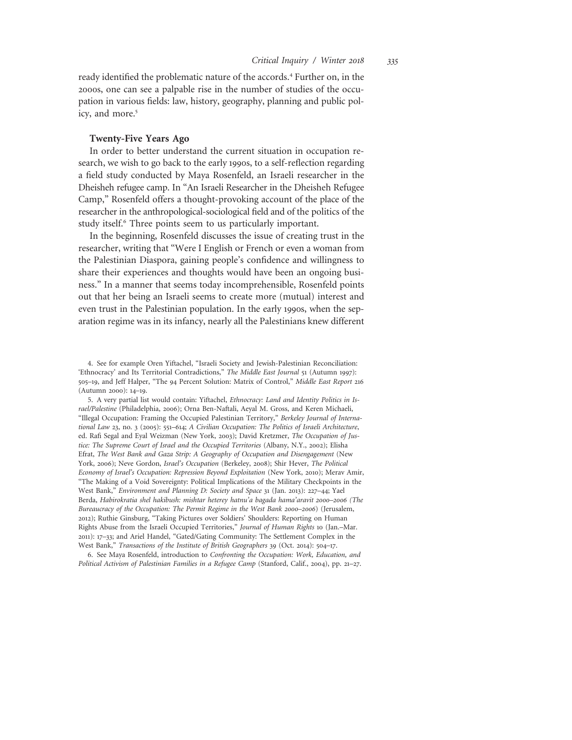ready identified the problematic nature of the accords.<sup>4</sup> Further on, in the 2000s, one can see a palpable rise in the number of studies of the occupation in various fields: law, history, geography, planning and public policy, and more.<sup>5</sup>

# Twenty-Five Years Ago

In order to better understand the current situation in occupation research, we wish to go back to the early 1990s, to a self-reflection regarding a field study conducted by Maya Rosenfeld, an Israeli researcher in the Dheisheh refugee camp. In "An Israeli Researcher in the Dheisheh Refugee Camp," Rosenfeld offers a thought-provoking account of the place of the researcher in the anthropological-sociological field and of the politics of the study itself.<sup>6</sup> Three points seem to us particularly important.

In the beginning, Rosenfeld discusses the issue of creating trust in the researcher, writing that "Were I English or French or even a woman from the Palestinian Diaspora, gaining people's confidence and willingness to share their experiences and thoughts would have been an ongoing business." In a manner that seems today incomprehensible, Rosenfeld points out that her being an Israeli seems to create more (mutual) interest and even trust in the Palestinian population. In the early 1990s, when the separation regime was in its infancy, nearly all the Palestinians knew different

5. A very partial list would contain: Yiftachel, Ethnocracy: Land and Identity Politics in Israel/Palestine (Philadelphia, 2006); Orna Ben-Naftali, Aeyal M. Gross, and Keren Michaeli, "Illegal Occupation: Framing the Occupied Palestinian Territory," Berkeley Journal of International Law 23, no. 3 (2005): 551–614; A Civilian Occupation: The Politics of Israeli Architecture, ed. Rafi Segal and Eyal Weizman (New York, 2003); David Kretzmer, The Occupation of Justice: The Supreme Court of Israel and the Occupied Territories (Albany, N.Y., 2002); Elisha Efrat, The West Bank and Gaza Strip: A Geography of Occupation and Disengagement (New York, 2006); Neve Gordon, Israel's Occupation (Berkeley, 2008); Shir Hever, The Political Economy of Israel's Occupation: Repression Beyond Exploitation (New York, 2010); Merav Amir, "The Making of a Void Sovereignty: Political Implications of the Military Checkpoints in the West Bank," Environment and Planning D: Society and Space 31 (Jan. 2013): 227–44; Yael Berda, Habirokratia shel hakibush: mishtar heterey hatnu'a bagada hama'aravit 2000–2006 (The Bureaucracy of the Occupation: The Permit Regime in the West Bank 2000–2006) (Jerusalem, 2012); Ruthie Ginsburg, "Taking Pictures over Soldiers' Shoulders: Reporting on Human Rights Abuse from the Israeli Occupied Territories," Journal of Human Rights 10 (Jan.–Mar. 2011): 17–33; and Ariel Handel, "Gated/Gating Community: The Settlement Complex in the West Bank," Transactions of the Institute of British Geographers 39 (Oct. 2014): 504–17.

6. See Maya Rosenfeld, introduction to Confronting the Occupation: Work, Education, and Political Activism of Palestinian Families in a Refugee Camp (Stanford, Calif., 2004), pp. 21–27.

<sup>4.</sup> See for example Oren Yiftachel, "Israeli Society and Jewish-Palestinian Reconciliation: 'Ethnocracy' and Its Territorial Contradictions," The Middle East Journal 51 (Autumn 1997): 505–19, and Jeff Halper, "The 94 Percent Solution: Matrix of Control," Middle East Report 216 (Autumn 2000): 14–19.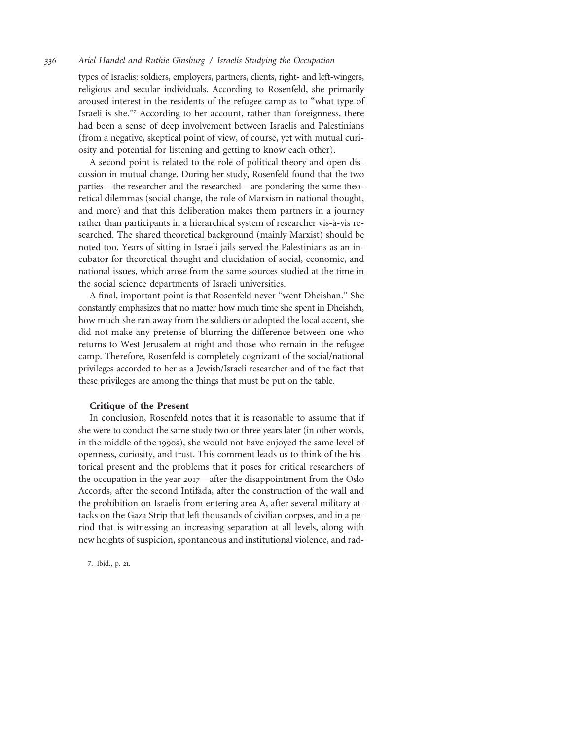types of Israelis: soldiers, employers, partners, clients, right- and left-wingers, religious and secular individuals. According to Rosenfeld, she primarily aroused interest in the residents of the refugee camp as to "what type of Israeli is she."<sup>7</sup> According to her account, rather than foreignness, there had been a sense of deep involvement between Israelis and Palestinians (from a negative, skeptical point of view, of course, yet with mutual curiosity and potential for listening and getting to know each other).

A second point is related to the role of political theory and open discussion in mutual change. During her study, Rosenfeld found that the two parties—the researcher and the researched—are pondering the same theoretical dilemmas (social change, the role of Marxism in national thought, and more) and that this deliberation makes them partners in a journey rather than participants in a hierarchical system of researcher vis-à-vis researched. The shared theoretical background (mainly Marxist) should be noted too. Years of sitting in Israeli jails served the Palestinians as an incubator for theoretical thought and elucidation of social, economic, and national issues, which arose from the same sources studied at the time in the social science departments of Israeli universities.

A final, important point is that Rosenfeld never "went Dheishan." She constantly emphasizes that no matter how much time she spent in Dheisheh, how much she ran away from the soldiers or adopted the local accent, she did not make any pretense of blurring the difference between one who returns to West Jerusalem at night and those who remain in the refugee camp. Therefore, Rosenfeld is completely cognizant of the social/national privileges accorded to her as a Jewish/Israeli researcher and of the fact that these privileges are among the things that must be put on the table.

## Critique of the Present

In conclusion, Rosenfeld notes that it is reasonable to assume that if she were to conduct the same study two or three years later (in other words, in the middle of the 1990s), she would not have enjoyed the same level of openness, curiosity, and trust. This comment leads us to think of the historical present and the problems that it poses for critical researchers of the occupation in the year 2017—after the disappointment from the Oslo Accords, after the second Intifada, after the construction of the wall and the prohibition on Israelis from entering area A, after several military attacks on the Gaza Strip that left thousands of civilian corpses, and in a period that is witnessing an increasing separation at all levels, along with new heights of suspicion, spontaneous and institutional violence, and rad-

7. Ibid., p. 21.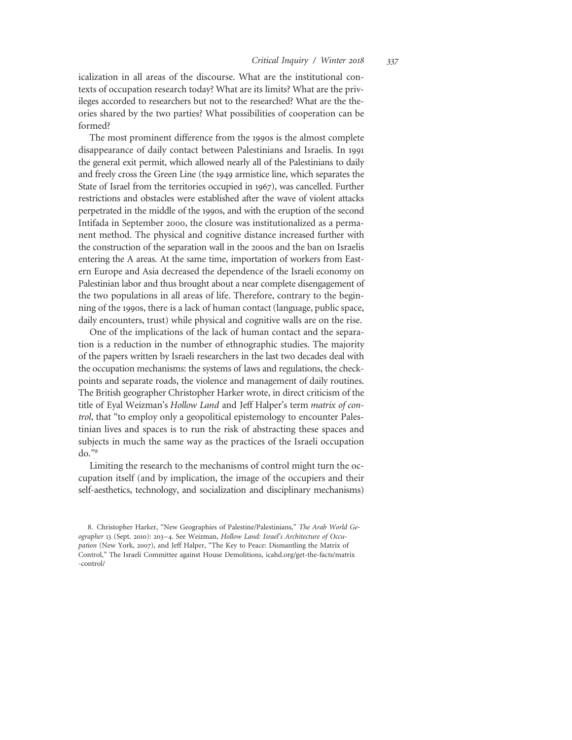icalization in all areas of the discourse. What are the institutional contexts of occupation research today? What are its limits? What are the privileges accorded to researchers but not to the researched? What are the theories shared by the two parties? What possibilities of cooperation can be formed?

The most prominent difference from the 1990s is the almost complete disappearance of daily contact between Palestinians and Israelis. In 1991 the general exit permit, which allowed nearly all of the Palestinians to daily and freely cross the Green Line (the 1949 armistice line, which separates the State of Israel from the territories occupied in 1967), was cancelled. Further restrictions and obstacles were established after the wave of violent attacks perpetrated in the middle of the 1990s, and with the eruption of the second Intifada in September 2000, the closure was institutionalized as a permanent method. The physical and cognitive distance increased further with the construction of the separation wall in the 2000s and the ban on Israelis entering the A areas. At the same time, importation of workers from Eastern Europe and Asia decreased the dependence of the Israeli economy on Palestinian labor and thus brought about a near complete disengagement of the two populations in all areas of life. Therefore, contrary to the beginning of the 1990s, there is a lack of human contact (language, public space, daily encounters, trust) while physical and cognitive walls are on the rise.

One of the implications of the lack of human contact and the separation is a reduction in the number of ethnographic studies. The majority of the papers written by Israeli researchers in the last two decades deal with the occupation mechanisms: the systems of laws and regulations, the checkpoints and separate roads, the violence and management of daily routines. The British geographer Christopher Harker wrote, in direct criticism of the title of Eyal Weizman's Hollow Land and Jeff Halper's term matrix of control, that "to employ only a geopolitical epistemology to encounter Palestinian lives and spaces is to run the risk of abstracting these spaces and subjects in much the same way as the practices of the Israeli occupation do."<sup>8</sup>

Limiting the research to the mechanisms of control might turn the occupation itself (and by implication, the image of the occupiers and their self-aesthetics, technology, and socialization and disciplinary mechanisms)

<sup>8.</sup> Christopher Harker, "New Geographies of Palestine/Palestinians," The Arab World Geographer 13 (Sept. 2010): 203–4. See Weizman, Hollow Land: Israel's Architecture of Occupation (New York, 2007), and Jeff Halper, "The Key to Peace: Dismantling the Matrix of Control," The Israeli Committee against House Demolitions, icahd.org/get-the-facts/matrix -control/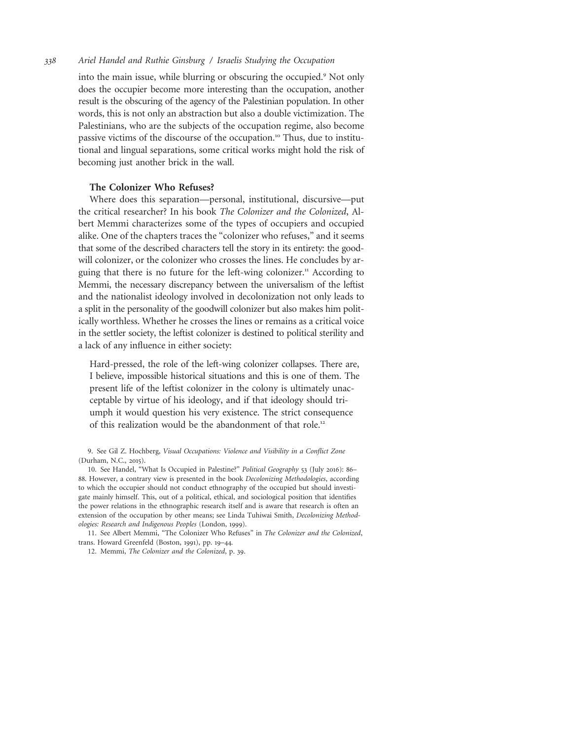into the main issue, while blurring or obscuring the occupied.<sup>9</sup> Not only does the occupier become more interesting than the occupation, another result is the obscuring of the agency of the Palestinian population. In other words, this is not only an abstraction but also a double victimization. The Palestinians, who are the subjects of the occupation regime, also become passive victims of the discourse of the occupation.<sup>10</sup> Thus, due to institutional and lingual separations, some critical works might hold the risk of becoming just another brick in the wall.

# The Colonizer Who Refuses?

Where does this separation—personal, institutional, discursive—put the critical researcher? In his book The Colonizer and the Colonized, Albert Memmi characterizes some of the types of occupiers and occupied alike. One of the chapters traces the "colonizer who refuses," and it seems that some of the described characters tell the story in its entirety: the goodwill colonizer, or the colonizer who crosses the lines. He concludes by arguing that there is no future for the left-wing colonizer.<sup>11</sup> According to Memmi, the necessary discrepancy between the universalism of the leftist and the nationalist ideology involved in decolonization not only leads to a split in the personality of the goodwill colonizer but also makes him politically worthless. Whether he crosses the lines or remains as a critical voice in the settler society, the leftist colonizer is destined to political sterility and a lack of any influence in either society:

Hard-pressed, the role of the left-wing colonizer collapses. There are, I believe, impossible historical situations and this is one of them. The present life of the leftist colonizer in the colony is ultimately unacceptable by virtue of his ideology, and if that ideology should triumph it would question his very existence. The strict consequence of this realization would be the abandonment of that role.<sup>12</sup>

10. See Handel, "What Is Occupied in Palestine?" Political Geography 53 (July 2016): 86– 88. However, a contrary view is presented in the book Decolonizing Methodologies, according to which the occupier should not conduct ethnography of the occupied but should investigate mainly himself. This, out of a political, ethical, and sociological position that identifies the power relations in the ethnographic research itself and is aware that research is often an extension of the occupation by other means; see Linda Tuhiwai Smith, Decolonizing Methodologies: Research and Indigenous Peoples (London, 1999).

11. See Albert Memmi, "The Colonizer Who Refuses" in The Colonizer and the Colonized, trans. Howard Greenfeld (Boston, 1991), pp. 19–44.

12. Memmi, The Colonizer and the Colonized, p. 39.

<sup>9.</sup> See Gil Z. Hochberg, Visual Occupations: Violence and Visibility in a Conflict Zone (Durham, N.C., 2015).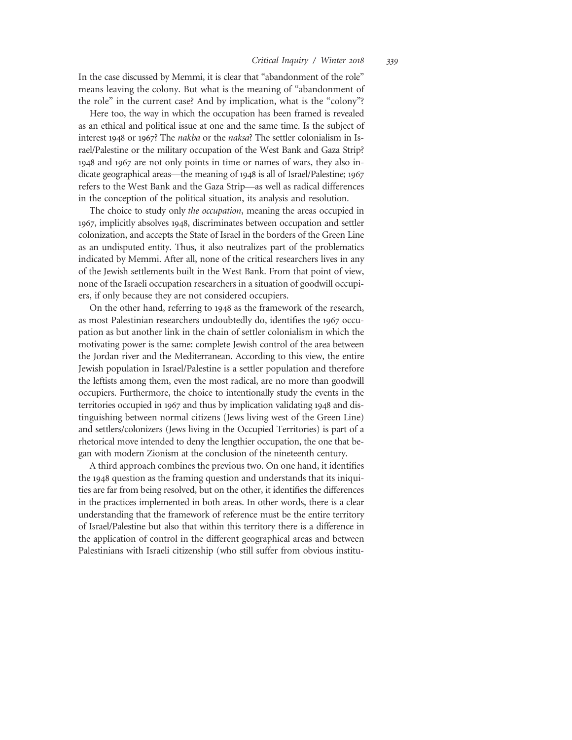In the case discussed by Memmi, it is clear that "abandonment of the role" means leaving the colony. But what is the meaning of "abandonment of the role" in the current case? And by implication, what is the "colony"?

Here too, the way in which the occupation has been framed is revealed as an ethical and political issue at one and the same time. Is the subject of interest 1948 or 1967? The nakba or the naksa? The settler colonialism in Israel/Palestine or the military occupation of the West Bank and Gaza Strip? 1948 and 1967 are not only points in time or names of wars, they also indicate geographical areas—the meaning of 1948 is all of Israel/Palestine; 1967 refers to the West Bank and the Gaza Strip—as well as radical differences in the conception of the political situation, its analysis and resolution.

The choice to study only the occupation, meaning the areas occupied in 1967, implicitly absolves 1948, discriminates between occupation and settler colonization, and accepts the State of Israel in the borders of the Green Line as an undisputed entity. Thus, it also neutralizes part of the problematics indicated by Memmi. After all, none of the critical researchers lives in any of the Jewish settlements built in the West Bank. From that point of view, none of the Israeli occupation researchers in a situation of goodwill occupiers, if only because they are not considered occupiers.

On the other hand, referring to 1948 as the framework of the research, as most Palestinian researchers undoubtedly do, identifies the 1967 occupation as but another link in the chain of settler colonialism in which the motivating power is the same: complete Jewish control of the area between the Jordan river and the Mediterranean. According to this view, the entire Jewish population in Israel/Palestine is a settler population and therefore the leftists among them, even the most radical, are no more than goodwill occupiers. Furthermore, the choice to intentionally study the events in the territories occupied in 1967 and thus by implication validating 1948 and distinguishing between normal citizens (Jews living west of the Green Line) and settlers/colonizers (Jews living in the Occupied Territories) is part of a rhetorical move intended to deny the lengthier occupation, the one that began with modern Zionism at the conclusion of the nineteenth century.

A third approach combines the previous two. On one hand, it identifies the 1948 question as the framing question and understands that its iniquities are far from being resolved, but on the other, it identifies the differences in the practices implemented in both areas. In other words, there is a clear understanding that the framework of reference must be the entire territory of Israel/Palestine but also that within this territory there is a difference in the application of control in the different geographical areas and between Palestinians with Israeli citizenship (who still suffer from obvious institu-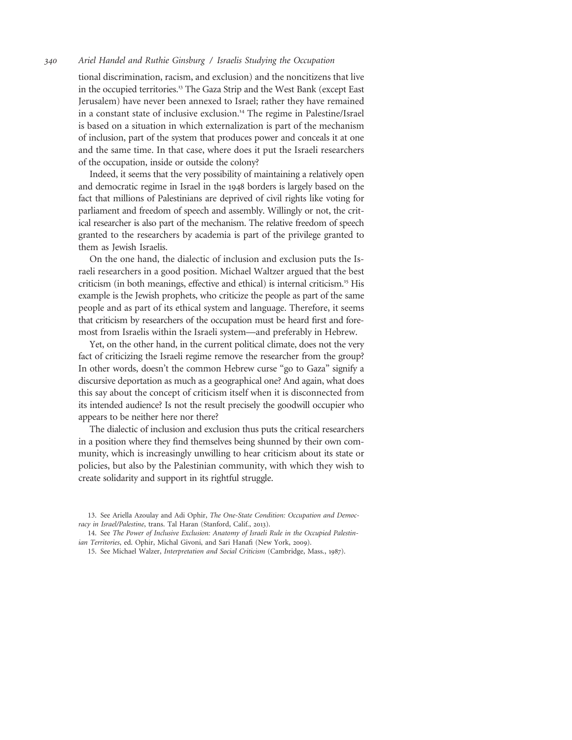tional discrimination, racism, and exclusion) and the noncitizens that live in the occupied territories.<sup>13</sup> The Gaza Strip and the West Bank (except East Jerusalem) have never been annexed to Israel; rather they have remained in a constant state of inclusive exclusion.<sup>14</sup> The regime in Palestine/Israel is based on a situation in which externalization is part of the mechanism of inclusion, part of the system that produces power and conceals it at one and the same time. In that case, where does it put the Israeli researchers of the occupation, inside or outside the colony?

Indeed, it seems that the very possibility of maintaining a relatively open and democratic regime in Israel in the 1948 borders is largely based on the fact that millions of Palestinians are deprived of civil rights like voting for parliament and freedom of speech and assembly. Willingly or not, the critical researcher is also part of the mechanism. The relative freedom of speech granted to the researchers by academia is part of the privilege granted to them as Jewish Israelis.

On the one hand, the dialectic of inclusion and exclusion puts the Israeli researchers in a good position. Michael Waltzer argued that the best criticism (in both meanings, effective and ethical) is internal criticism.<sup>15</sup> His example is the Jewish prophets, who criticize the people as part of the same people and as part of its ethical system and language. Therefore, it seems that criticism by researchers of the occupation must be heard first and foremost from Israelis within the Israeli system—and preferably in Hebrew.

Yet, on the other hand, in the current political climate, does not the very fact of criticizing the Israeli regime remove the researcher from the group? In other words, doesn't the common Hebrew curse "go to Gaza" signify a discursive deportation as much as a geographical one? And again, what does this say about the concept of criticism itself when it is disconnected from its intended audience? Is not the result precisely the goodwill occupier who appears to be neither here nor there?

The dialectic of inclusion and exclusion thus puts the critical researchers in a position where they find themselves being shunned by their own community, which is increasingly unwilling to hear criticism about its state or policies, but also by the Palestinian community, with which they wish to create solidarity and support in its rightful struggle.

<sup>13.</sup> See Ariella Azoulay and Adi Ophir, The One-State Condition: Occupation and Democracy in Israel/Palestine, trans. Tal Haran (Stanford, Calif., 2013).

<sup>14.</sup> See The Power of Inclusive Exclusion: Anatomy of Israeli Rule in the Occupied Palestinian Territories, ed. Ophir, Michal Givoni, and Sari Hanafi (New York, 2009).

<sup>15.</sup> See Michael Walzer, Interpretation and Social Criticism (Cambridge, Mass., 1987).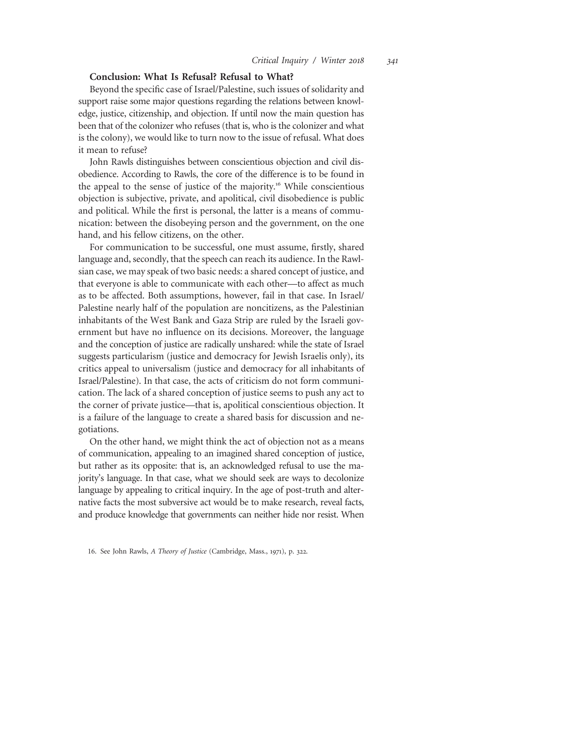# Conclusion: What Is Refusal? Refusal to What?

Beyond the specific case of Israel/Palestine, such issues of solidarity and support raise some major questions regarding the relations between knowledge, justice, citizenship, and objection. If until now the main question has been that of the colonizer who refuses (that is, who is the colonizer and what is the colony), we would like to turn now to the issue of refusal. What does it mean to refuse?

John Rawls distinguishes between conscientious objection and civil disobedience. According to Rawls, the core of the difference is to be found in the appeal to the sense of justice of the majority.<sup>16</sup> While conscientious objection is subjective, private, and apolitical, civil disobedience is public and political. While the first is personal, the latter is a means of communication: between the disobeying person and the government, on the one hand, and his fellow citizens, on the other.

For communication to be successful, one must assume, firstly, shared language and, secondly, that the speech can reach its audience. In the Rawlsian case, we may speak of two basic needs: a shared concept of justice, and that everyone is able to communicate with each other—to affect as much as to be affected. Both assumptions, however, fail in that case. In Israel/ Palestine nearly half of the population are noncitizens, as the Palestinian inhabitants of the West Bank and Gaza Strip are ruled by the Israeli government but have no influence on its decisions. Moreover, the language and the conception of justice are radically unshared: while the state of Israel suggests particularism (justice and democracy for Jewish Israelis only), its critics appeal to universalism (justice and democracy for all inhabitants of Israel/Palestine). In that case, the acts of criticism do not form communication. The lack of a shared conception of justice seems to push any act to the corner of private justice—that is, apolitical conscientious objection. It is a failure of the language to create a shared basis for discussion and negotiations.

On the other hand, we might think the act of objection not as a means of communication, appealing to an imagined shared conception of justice, but rather as its opposite: that is, an acknowledged refusal to use the majority's language. In that case, what we should seek are ways to decolonize language by appealing to critical inquiry. In the age of post-truth and alternative facts the most subversive act would be to make research, reveal facts, and produce knowledge that governments can neither hide nor resist. When

<sup>16.</sup> See John Rawls, A Theory of Justice (Cambridge, Mass., 1971), p. 322.